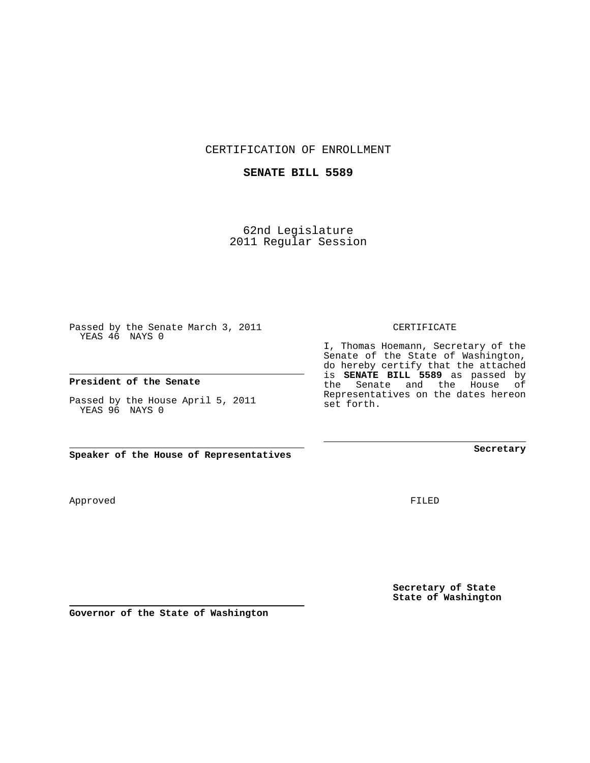CERTIFICATION OF ENROLLMENT

## **SENATE BILL 5589**

62nd Legislature 2011 Regular Session

Passed by the Senate March 3, 2011 YEAS 46 NAYS 0

**President of the Senate**

Passed by the House April 5, 2011 YEAS 96 NAYS 0

**Speaker of the House of Representatives**

Approved

FILED

**Secretary**

**Secretary of State State of Washington**

CERTIFICATE

I, Thomas Hoemann, Secretary of the Senate of the State of Washington, do hereby certify that the attached is **SENATE BILL 5589** as passed by the Senate and the House of Representatives on the dates hereon set forth.

**Governor of the State of Washington**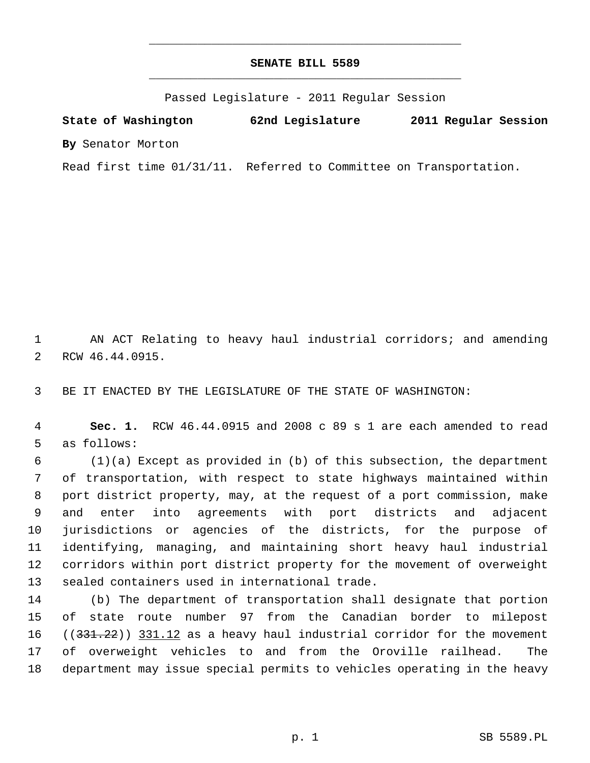## **SENATE BILL 5589** \_\_\_\_\_\_\_\_\_\_\_\_\_\_\_\_\_\_\_\_\_\_\_\_\_\_\_\_\_\_\_\_\_\_\_\_\_\_\_\_\_\_\_\_\_

\_\_\_\_\_\_\_\_\_\_\_\_\_\_\_\_\_\_\_\_\_\_\_\_\_\_\_\_\_\_\_\_\_\_\_\_\_\_\_\_\_\_\_\_\_

Passed Legislature - 2011 Regular Session

**State of Washington 62nd Legislature 2011 Regular Session By** Senator Morton

Read first time 01/31/11. Referred to Committee on Transportation.

 1 AN ACT Relating to heavy haul industrial corridors; and amending 2 RCW 46.44.0915.

3 BE IT ENACTED BY THE LEGISLATURE OF THE STATE OF WASHINGTON:

 4 **Sec. 1.** RCW 46.44.0915 and 2008 c 89 s 1 are each amended to read 5 as follows:

 6 (1)(a) Except as provided in (b) of this subsection, the department 7 of transportation, with respect to state highways maintained within 8 port district property, may, at the request of a port commission, make 9 and enter into agreements with port districts and adjacent 10 jurisdictions or agencies of the districts, for the purpose of 11 identifying, managing, and maintaining short heavy haul industrial 12 corridors within port district property for the movement of overweight 13 sealed containers used in international trade.

14 (b) The department of transportation shall designate that portion 15 of state route number 97 from the Canadian border to milepost 16 ((331.22)) 331.12 as a heavy haul industrial corridor for the movement 17 of overweight vehicles to and from the Oroville railhead. The 18 department may issue special permits to vehicles operating in the heavy